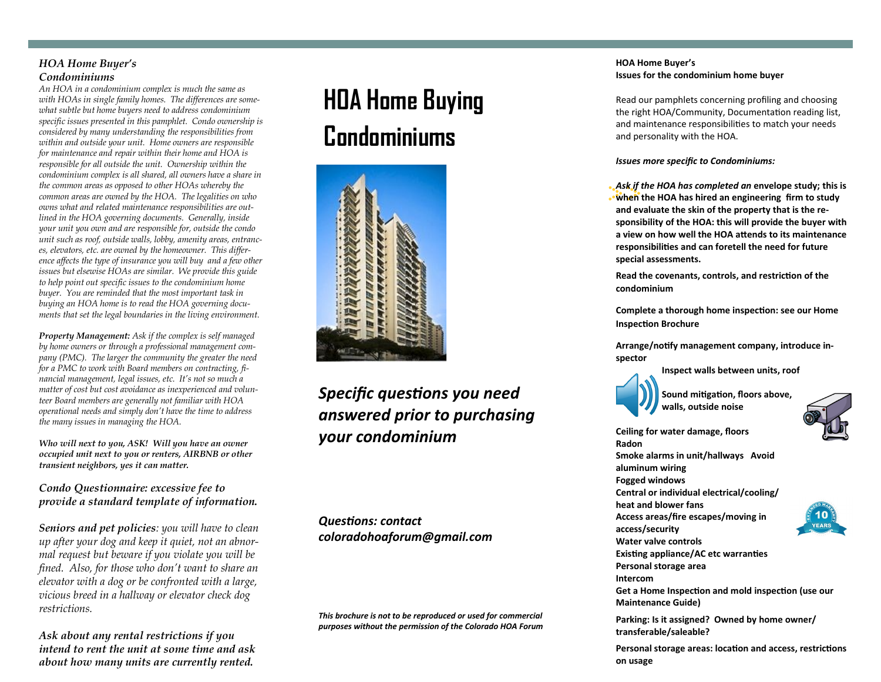### *HOA Home Buyer's Condominiums*

*An HOA in a condominium complex is much the same as with HOAs in single family homes. The differences are somewhat subtle but home buyers need to address condominium specific issues presented in this pamphlet. Condo ownership is considered by many understanding the responsibilities from within and outside your unit. Home owners are responsible for maintenance and repair within their home and HOA is responsible for all outside the unit. Ownership within the condominium complex is all shared, all owners have a share in the common areas as opposed to other HOAs whereby the common areas are owned by the HOA. The legalities on who owns what and related maintenance responsibilities are outlined in the HOA governing documents. Generally, inside your unit you own and are responsible for, outside the condo unit such as roof, outside walls, lobby, amenity areas, entrances, elevators, etc. are owned by the homeowner. This difference affects the type of insurance you will buy and a few other issues but elsewise HOAs are similar. We provide this guide to help point out specific issues to the condominium home buyer. You are reminded that the most important task in buying an HOA home is to read the HOA governing documents that set the legal boundaries in the living environment.*

*Property Management: Ask if the complex is self managed by home owners or through a professional management company (PMC). The larger the community the greater the need for a PMC to work with Board members on contracting, financial management, legal issues, etc. It's not so much a matter of cost but cost avoidance as inexperienced and volunteer Board members are generally not familiar with HOA operational needs and simply don't have the time to address the many issues in managing the HOA.*

*Who will next to you, ASK! Will you have an owner occupied unit next to you or renters, AIRBNB or other transient neighbors, yes it can matter.*

## *Condo Questionnaire: excessive fee to provide a standard template of information.*

*Seniors and pet policies: you will have to clean up after your dog and keep it quiet, not an abnormal request but beware if you violate you will be fined. Also, for those who don't want to share an elevator with a dog or be confronted with a large, vicious breed in a hallway or elevator check dog restrictions.* 

*Ask about any rental restrictions if you intend to rent the unit at some time and ask about how many units are currently rented.*

# **HOA Home Buying Condominiums**



*Specific questions you need answered prior to purchasing your condominium*

*Questions: contact coloradohoaforum@gmail.com*

*This brochure is not to be reproduced or used for commercial purposes without the permission of the Colorado HOA Forum*

#### **HOA Home Buyer's Issues for the condominium home buyer**

Read our pamphlets concerning profiling and choosing the right HOA/Community, Documentation reading list, and maintenance responsibilities to match your needs and personality with the HOA.

*Issues more specific to Condominiums:*

*Ask if the HOA has completed an* **envelope study; this is when the HOA has hired an engineering firm to study and evaluate the skin of the property that is the responsibility of the HOA: this will provide the buyer with a view on how well the HOA attends to its maintenance responsibilities and can foretell the need for future special assessments.** 

**Read the covenants, controls, and restriction of the condominium**

**Complete a thorough home inspection: see our Home Inspection Brochure**

**Arrange/notify management company, introduce inspector**

**Inspect walls between units, roof**

**Sound mitigation, floors above, walls, outside noise**

**Ceiling for water damage, floors Radon Smoke alarms in unit/hallways Avoid aluminum wiring Fogged windows Central or individual electrical/cooling/**

**heat and blower fans**

**Access areas/fire escapes/moving in access/security**

**Water valve controls Existing appliance/AC etc warranties**

**Personal storage area** 

**Intercom**

**Get a Home Inspection and mold inspection (use our Maintenance Guide)**

**Parking: Is it assigned? Owned by home owner/ transferable/saleable?**

**Personal storage areas: location and access, restrictions on usage**